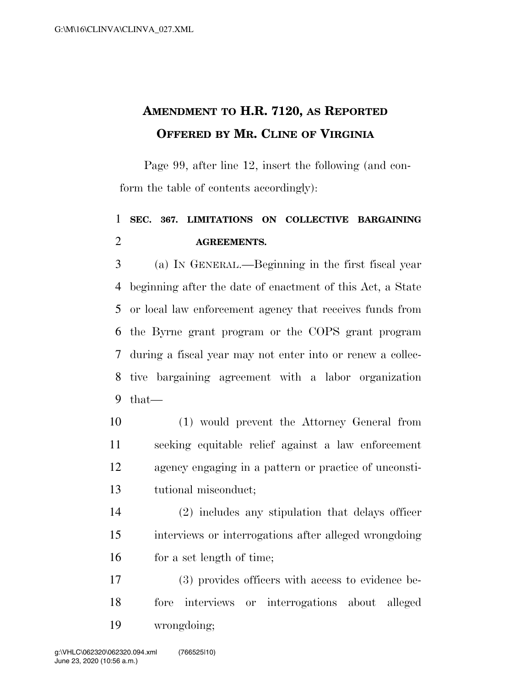## **AMENDMENT TO H.R. 7120, AS REPORTED OFFERED BY MR. CLINE OF VIRGINIA**

Page 99, after line 12, insert the following (and conform the table of contents accordingly):

## **SEC. 367. LIMITATIONS ON COLLECTIVE BARGAINING AGREEMENTS.**

 (a) IN GENERAL.—Beginning in the first fiscal year beginning after the date of enactment of this Act, a State or local law enforcement agency that receives funds from the Byrne grant program or the COPS grant program during a fiscal year may not enter into or renew a collec- tive bargaining agreement with a labor organization that—

 (1) would prevent the Attorney General from seeking equitable relief against a law enforcement agency engaging in a pattern or practice of unconsti-tutional misconduct;

 (2) includes any stipulation that delays officer interviews or interrogations after alleged wrongdoing 16 for a set length of time;

 (3) provides officers with access to evidence be- fore interviews or interrogations about alleged wrongdoing;